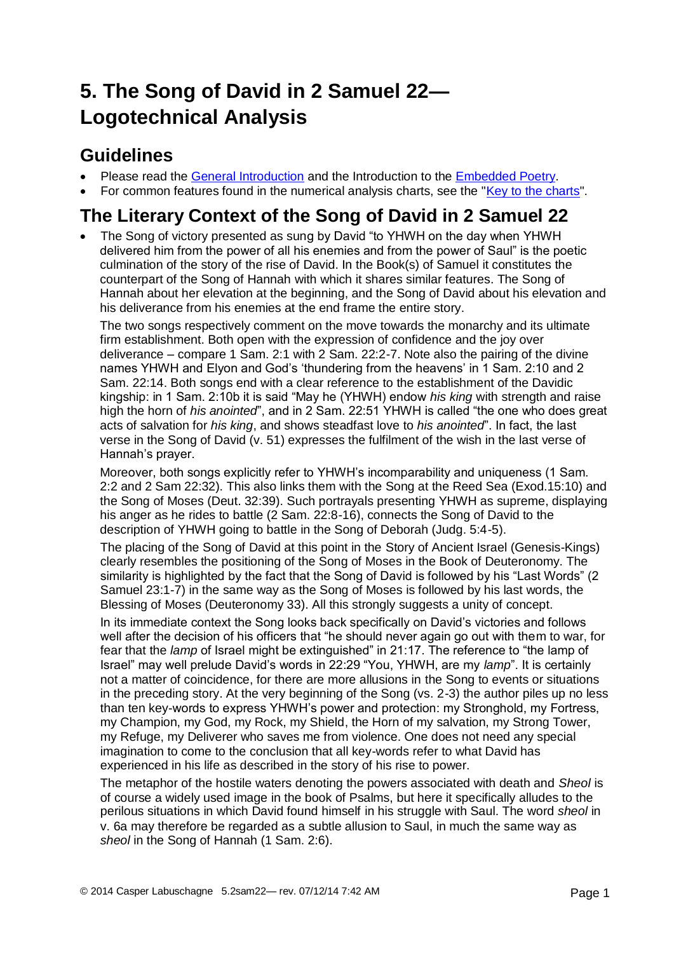# **5. The Song of David in 2 Samuel 22— Logotechnical Analysis**

## **Guidelines**

- Please read the [General Introduction](http://www.labuschagne.nl/aspects.pdf) and the Introduction to the [Embedded Poetry.](http://www.labuschagne.nl/intro.embed.pdf)
- For common features found in the numerical analysis charts, see the ["Key to the charts"](http://www.labuschagne.nl/keytocharts.pdf).

## **The Literary Context of the Song of David in 2 Samuel 22**

• The Song of victory presented as sung by David "to YHWH on the day when YHWH delivered him from the power of all his enemies and from the power of Saul" is the poetic culmination of the story of the rise of David. In the Book(s) of Samuel it constitutes the counterpart of the Song of Hannah with which it shares similar features. The Song of Hannah about her elevation at the beginning, and the Song of David about his elevation and his deliverance from his enemies at the end frame the entire story.

The two songs respectively comment on the move towards the monarchy and its ultimate firm establishment. Both open with the expression of confidence and the joy over deliverance – compare 1 Sam. 2:1 with 2 Sam. 22:2-7. Note also the pairing of the divine names YHWH and Elyon and God's 'thundering from the heavens' in 1 Sam. 2:10 and 2 Sam. 22:14. Both songs end with a clear reference to the establishment of the Davidic kingship: in 1 Sam. 2:10b it is said "May he (YHWH) endow *his king* with strength and raise high the horn of *his anointed*", and in 2 Sam. 22:51 YHWH is called "the one who does great acts of salvation for *his king*, and shows steadfast love to *his anointed*". In fact, the last verse in the Song of David (v. 51) expresses the fulfilment of the wish in the last verse of Hannah's prayer.

Moreover, both songs explicitly refer to YHWH's incomparability and uniqueness (1 Sam. 2:2 and 2 Sam 22:32). This also links them with the Song at the Reed Sea (Exod.15:10) and the Song of Moses (Deut. 32:39). Such portrayals presenting YHWH as supreme, displaying his anger as he rides to battle (2 Sam. 22:8-16), connects the Song of David to the description of YHWH going to battle in the Song of Deborah (Judg. 5:4-5).

The placing of the Song of David at this point in the Story of Ancient Israel (Genesis-Kings) clearly resembles the positioning of the Song of Moses in the Book of Deuteronomy. The similarity is highlighted by the fact that the Song of David is followed by his "Last Words" (2 Samuel 23:1-7) in the same way as the Song of Moses is followed by his last words, the Blessing of Moses (Deuteronomy 33). All this strongly suggests a unity of concept.

In its immediate context the Song looks back specifically on David's victories and follows well after the decision of his officers that "he should never again go out with them to war, for fear that the *lamp* of Israel might be extinguished" in 21:17. The reference to "the lamp of Israel" may well prelude David's words in 22:29 "You, YHWH, are my *lamp*". It is certainly not a matter of coincidence, for there are more allusions in the Song to events or situations in the preceding story. At the very beginning of the Song (vs. 2-3) the author piles up no less than ten key-words to express YHWH's power and protection: my Stronghold, my Fortress, my Champion, my God, my Rock, my Shield, the Horn of my salvation, my Strong Tower, my Refuge, my Deliverer who saves me from violence. One does not need any special imagination to come to the conclusion that all key-words refer to what David has experienced in his life as described in the story of his rise to power.

The metaphor of the hostile waters denoting the powers associated with death and *Sheol* is of course a widely used image in the book of Psalms, but here it specifically alludes to the perilous situations in which David found himself in his struggle with Saul. The word *sheol* in v. 6a may therefore be regarded as a subtle allusion to Saul, in much the same way as *sheol* in the Song of Hannah (1 Sam. 2:6).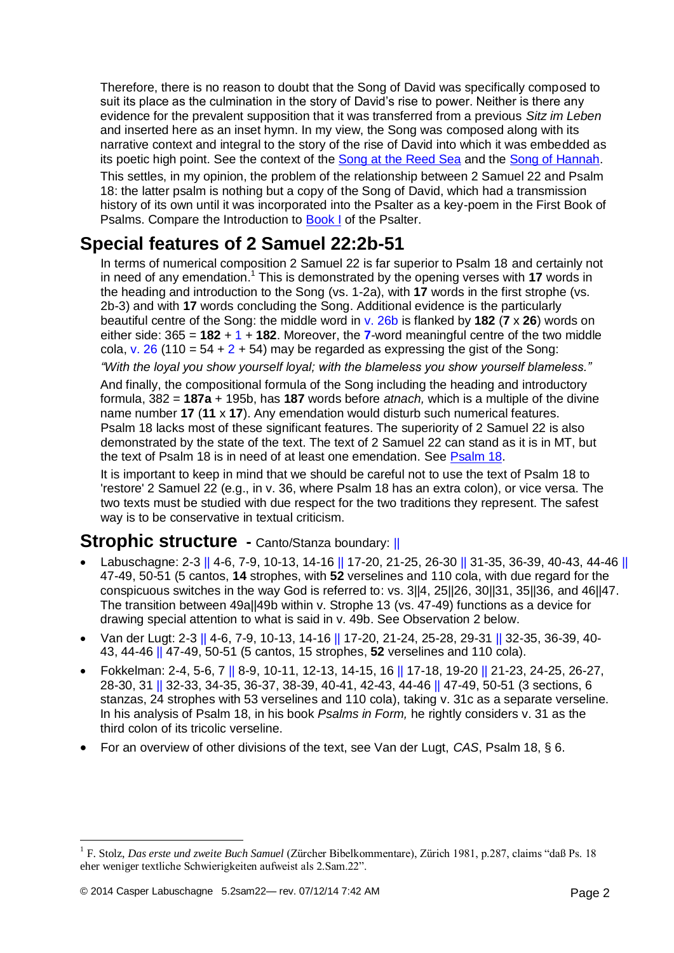Therefore, there is no reason to doubt that the Song of David was specifically composed to suit its place as the culmination in the story of David's rise to power. Neither is there any evidence for the prevalent supposition that it was transferred from a previous *Sitz im Leben* and inserted here as an inset hymn. In my view, the Song was composed along with its narrative context and integral to the story of the rise of David into which it was embedded as its poetic high point. See the context of the [Song at the Reed Sea](http://www.labuschagne.nl/1.exod15.pdf) and the [Song of Hannah.](http://www.labuschagne.nl/4.1sam2.pdf)

This settles, in my opinion, the problem of the relationship between 2 Samuel 22 and Psalm 18: the latter psalm is nothing but a copy of the Song of David, which had a transmission history of its own until it was incorporated into the Psalter as a key-poem in the First Book of Psalms. Compare the Introduction to [Book I](http://www.labuschagne.nl/intro1.pdf) of the Psalter.

### **Special features of 2 Samuel 22:2b-51**

In terms of numerical composition 2 Samuel 22 is far superior to Psalm 18 and certainly not in need of any emendation.<sup>1</sup> This is demonstrated by the opening verses with 17 words in the heading and introduction to the Song (vs. 1-2a), with **17** words in the first strophe (vs. 2b-3) and with **17** words concluding the Song. Additional evidence is the particularly beautiful centre of the Song: the middle word in v. 26b is flanked by **182** (**7** x **26**) words on either side: 365 = **182** + 1 + **182**. Moreover, the **7**-word meaningful centre of the two middle cola, v. 26 (110 =  $54 + 2 + 54$ ) may be regarded as expressing the gist of the Song:

*"With the loyal you show yourself loyal; with the blameless you show yourself blameless."*

And finally, the compositional formula of the Song including the heading and introductory formula, 382 = **187a** + 195b, has **187** words before *atnach,* which is a multiple of the divine name number **17** (**11** x **17**). Any emendation would disturb such numerical features. Psalm 18 lacks most of these significant features. The superiority of 2 Samuel 22 is also demonstrated by the state of the text. The text of 2 Samuel 22 can stand as it is in MT, but the text of Psalm 18 is in need of at least one emendation. See [Psalm 18.](http://www.labuschagne.nl/ps018g.pdf)

It is important to keep in mind that we should be careful not to use the text of Psalm 18 to 'restore' 2 Samuel 22 (e.g., in v. 36, where Psalm 18 has an extra colon), or vice versa. The two texts must be studied with due respect for the two traditions they represent. The safest way is to be conservative in textual criticism.

#### **Strophic structure -** Canto/Stanza boundary: ||

- Labuschagne: 2-3 || 4-6, 7-9, 10-13, 14-16 || 17-20, 21-25, 26-30 || 31-35, 36-39, 40-43, 44-46 || 47-49, 50-51 (5 cantos, **14** strophes, with **52** verselines and 110 cola, with due regard for the conspicuous switches in the way God is referred to: vs. 3||4, 25||26, 30||31, 35||36, and 46||47. The transition between 49a||49b within v. Strophe 13 (vs. 47-49) functions as a device for drawing special attention to what is said in v. 49b. See Observation 2 below.
- Van der Lugt: 2-3 || 4-6, 7-9, 10-13, 14-16 || 17-20, 21-24, 25-28, 29-31 || 32-35, 36-39, 40- 43, 44-46 || 47-49, 50-51 (5 cantos, 15 strophes, **52** verselines and 110 cola).
- Fokkelman: 2-4, 5-6, 7 || 8-9, 10-11, 12-13, 14-15, 16 || 17-18, 19-20 || 21-23, 24-25, 26-27, 28-30, 31 || 32-33, 34-35, 36-37, 38-39, 40-41, 42-43, 44-46 || 47-49, 50-51 (3 sections, 6 stanzas, 24 strophes with 53 verselines and 110 cola), taking v. 31c as a separate verseline. In his analysis of Psalm 18, in his book *Psalms in Form,* he rightly considers v. 31 as the third colon of its tricolic verseline.
- For an overview of other divisions of the text, see Van der Lugt, *CAS*, Psalm 18, § 6.

<u>.</u>

<sup>1</sup> F. Stolz, *Das erste und zweite Buch Samuel* (Zürcher Bibelkommentare), Zürich 1981, p.287, claims "daß Ps. 18 eher weniger textliche Schwierigkeiten aufweist als 2.Sam.22".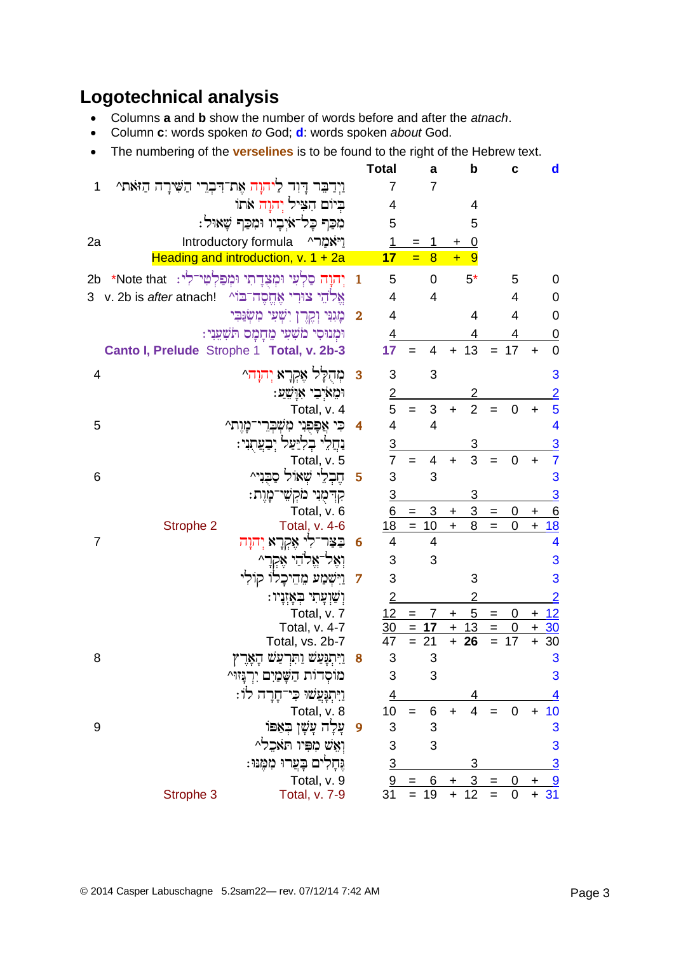## **Logotechnical analysis**

- Columns **a** and **b** show the number of words before and after the *atnach*.
- Column **c**: words spoken *to* God; **d**: words spoken *about* God.
- The numbering of the **verselines** is to be found to the right of the Hebrew text.

|                                                                 |                | <b>Total</b>                    | a                     | b                                  | с                     | $\mathbf d$                   |
|-----------------------------------------------------------------|----------------|---------------------------------|-----------------------|------------------------------------|-----------------------|-------------------------------|
| וַיִדַבֵּר דָּוִד לַיהוָה אֶת־דִּבְרֵי הַשִּׁירָה הַזֹּאת^<br>1 |                | $\overline{7}$                  | $\overline{7}$        |                                    |                       |                               |
| בִיוֹם הִצִּיל יְהוָה אתוֹ                                      |                | 4                               |                       | 4                                  |                       |                               |
| מִכַּף כָל־אֹיָבָיו וּמִכַּף שָׁאוּל:                           |                | 5                               |                       | 5                                  |                       |                               |
| Introductory formula<br>2a                                      | וַיאמרי        | 1                               | 1<br>=                | <u>0</u><br>+                      |                       |                               |
| Heading and introduction, $v. 1 + 2a$                           |                | 17                              | $=$<br>$\overline{8}$ | $+$<br>9                           |                       |                               |
| יְהוָה סַלְעִי וּמְצִדְתִי וּמְפַלְטִי־לִי: Note that*<br>2b    | $\mathbf{1}$   | 5                               | 0                     | $5*$                               | 5                     | 0                             |
| אֵלֹהֵי צוּרִי אֶחֱסֶה־בּוֹי v. 2b is <i>after</i> atnach!<br>3 |                | 4                               | $\overline{4}$        |                                    | 4                     | 0                             |
| מְגִנִּי וְקֶרֶן יִשְׁעֵי מִשְּׂנֵּבִי                          | $\mathbf{2}$   | 4                               |                       | 4                                  | 4                     | 0                             |
| וּמְנוּסִי מֹשָׁעִי מֵחָמָם תֹּשָׁעֲנִי:                        |                | <u>4</u>                        |                       |                                    | 4                     | 0                             |
| Canto I, Prelude Strophe 1 Total, v. 2b-3                       |                | 17                              | 4<br>$=$              | 13<br>$+$                          | $= 17$                | $\overline{0}$<br>$\ddot{}$   |
| מְהָלָל אֶקְרָא יְהוָה^<br>4                                    | 3              | 3                               | 3                     |                                    |                       | 3                             |
| וּמֵאֹיִבֵי אָוַשֵׁעַ:                                          |                | $\overline{2}$                  |                       | 2                                  |                       | $\overline{2}$                |
| Total, v. 4                                                     |                | 5                               | 3<br>$=$              | $\overline{2}$<br>$+$              | 0<br>$=$              | 5<br>÷.                       |
| 5<br>כי אפפני משברי־מות^                                        | 4              | 4                               | $\overline{4}$        |                                    |                       | 4                             |
| נִחֲלִי בְלִיַעַל יְבַעֲתָנִי:                                  |                | <u>3</u>                        |                       | 3                                  |                       | $\overline{3}$                |
| Total, v. 5                                                     |                | $\overline{7}$                  | 4<br>$=$              | 3<br>$\ddot{}$                     | $\mathbf 0$<br>$=$    | $\overline{7}$<br>$\ddot{}$   |
| חֵבְלֵי שָׁאוֹל סַבִּנִי^<br>6                                  | 5              | 3                               | 3                     |                                    |                       | 3                             |
| קִדְמָנִי מֹקְשֵׁי־מָוֶת:                                       |                | $\overline{3}$                  |                       | 3                                  |                       | $\overline{3}$                |
| Total, v. 6                                                     |                | 6                               | $\mathbf{3}$<br>$=$   | 3 <sup>7</sup><br>$\boldsymbol{+}$ | 0<br>$=$              | 6<br>+                        |
| Strophe 2<br>Total, v. 4-6                                      |                | 18                              | $= 10$                | 8<br>$\pm$                         | 0<br>$=$              | $\frac{18}{1}$<br>$\mathbf +$ |
| $\overline{7}$<br>בַצַּר־לִי אֶקְרָא יְהוָה                     | - 6            | 4                               | 4                     |                                    |                       | 4                             |
| וְאֵל־אֱלֹהֵי אֵקְרָ^                                           |                | 3                               | 3                     |                                    |                       | 3                             |
| וַיִּשְׁמַע מֵהֵיכָלוֹ קוֹלִי                                   | $\overline{7}$ | 3                               |                       | 3                                  |                       | 3                             |
| ּוְשָׁוְעַתִי בְּאַזְנַיו:                                      |                | $\overline{2}$                  |                       | 2                                  |                       | $\overline{2}$                |
| Total, v. 7                                                     |                | 12                              | 7<br>$=$              | 5<br>$\ddot{}$                     | 0<br>$=$              | 12<br>$\pm$                   |
| Total, v. 4-7                                                   |                | $\frac{30}{5}$<br>47            | 17<br>$\quad =$<br>21 | 13<br>$\pm$<br>26<br>$+$           | 0<br>$=$<br>17<br>$=$ | <u>30</u><br>$\ddot{}$<br>30  |
| Total, vs. 2b-7<br>8<br>ויתנעש ותרעש האר                        | 8              | 3                               | 3                     |                                    |                       | $\ddot{}$<br>3                |
|                                                                 |                | 3                               | 3                     |                                    |                       | 3                             |
| מוֹסְדוֹת הַשָּׁמַיִם יִרְנְזוּ^                                |                |                                 |                       |                                    |                       |                               |
| וַיִּתְנְּעֲשׁוּ כִּי־חָרָה לוֹ:<br>Total, v. 8                 |                | $\overline{4}$<br>10            | 6<br>$=$              | 4<br>$\overline{4}$<br>$\ddot{}$   | $\mathbf 0$           | 10<br>$\ddot{}$               |
| ַעֲלָה עָשָׁן בְּאַפּוֹ<br>9                                    | $\overline{9}$ | 3                               | 3                     |                                    |                       | 3                             |
| וְאֵשׁ מִפִּיו תֹּאבִל^                                         |                | 3                               | 3                     |                                    |                       | 3                             |
| גֶּחָלִים בָּעֲרוּ מִמֶּנּוּ:                                   |                |                                 |                       | 3                                  |                       | $\overline{3}$                |
| Total, v. 9                                                     |                |                                 | <u>6</u>              | <u>3</u><br>+                      | $=$                   | <u>9</u>                      |
| Total, v. 7-9<br>Strophe 3                                      |                | $\frac{3}{9}$<br>$\frac{9}{31}$ | $=$<br>19             | 12<br>$\ddot{}$                    | $\overline{0}$        | $+31$                         |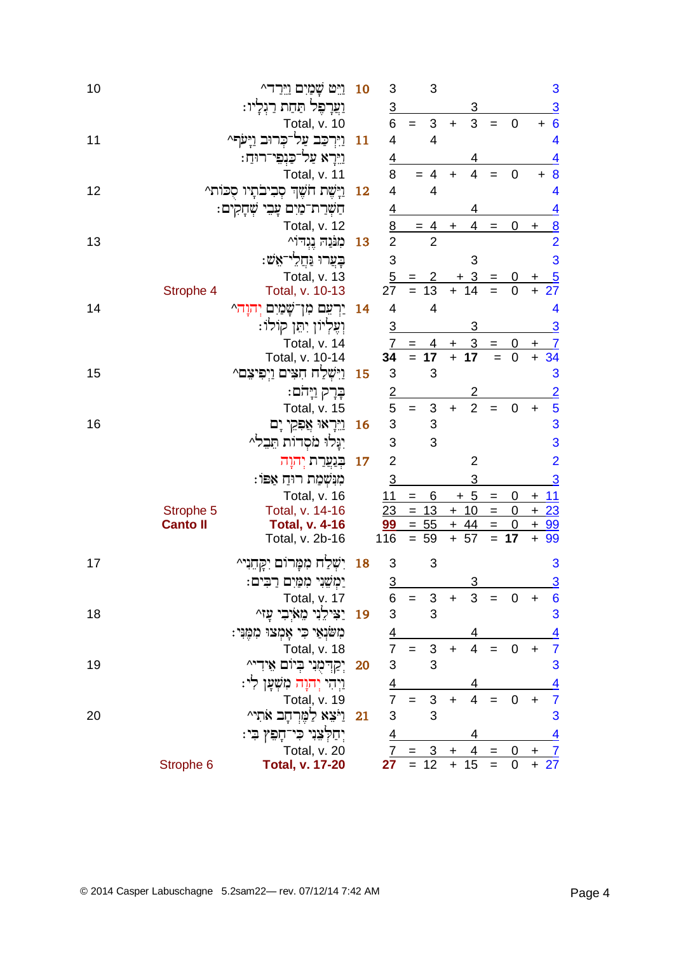| 10 |                 | ויט שמים וירד^                         | 10        | 3              |                          | 3              |            |                                   |                                                        |                            |                | 3                       |
|----|-----------------|----------------------------------------|-----------|----------------|--------------------------|----------------|------------|-----------------------------------|--------------------------------------------------------|----------------------------|----------------|-------------------------|
|    |                 | וַעֲרָפֶּל תַּחַת רַגְלָיו:            |           | $\overline{3}$ |                          |                |            | 3                                 |                                                        |                            |                | $\overline{3}$          |
|    |                 | Total, v. 10                           |           | 6              | $\equiv$                 | 3              | $\ddot{}$  | 3                                 | $=$                                                    | $\mathbf 0$                |                | $+ 6$                   |
| 11 |                 | וַיִּרְכַּב עַל־כִּרוּב וַיַּעֹף^      | 11        | 4              |                          | $\overline{4}$ |            |                                   |                                                        |                            |                | $\overline{\mathbf{4}}$ |
|    |                 | וַיֵּרָא עַל־כַּנִפֵּי־רוּחַ:          |           | <u>4</u>       |                          |                |            | 4                                 |                                                        |                            |                | $\overline{4}$          |
|    |                 | Total, v. 11                           |           | 8              |                          | $= 4$          | $\ddot{}$  | 4                                 | $=$                                                    | $\mathbf 0$                | $\pm$          | $\boldsymbol{8}$        |
| 12 |                 | וַיָּשֶׁת חֹשֶׁךְ סְבִיבֹתָיו סְכּוֹת^ | 12        | 4              |                          | $\overline{4}$ |            |                                   |                                                        |                            |                | $\overline{\mathbf{4}}$ |
|    |                 | חַשְׁרַת־מַיִם עָבִי שְׁחָקִים:        |           | $\overline{4}$ |                          |                |            |                                   |                                                        |                            |                | $\overline{4}$          |
|    |                 | Total, v. 12                           |           | $\frac{8}{2}$  |                          | $= 4$          | $\ddot{}$  | 4                                 | $=$                                                    | 0                          | $\mathbf +$    | $\overline{8}$          |
| 13 |                 | מִנּּנֵה נֵגְדוֹ^                      | 13        |                |                          | $\overline{2}$ |            |                                   |                                                        |                            |                | $\overline{2}$          |
|    |                 | ּבְעֲרוּ וַּחֲלִי־אֵשׁ:                |           | 3              |                          |                |            | 3                                 |                                                        |                            |                | 3                       |
|    |                 | Total, v. 13                           |           | $\overline{5}$ |                          |                |            | 3                                 |                                                        | $\overline{0}$             | +              | $\frac{5}{27}$          |
|    | Strophe 4       | Total, v. 10-13                        |           | 27             | $=$                      | 13             | $\ddot{}$  | 14                                |                                                        | $\mathbf 0$                | $\ddot{}$      |                         |
| 14 |                 | יַרִעֵם מִן־שָׁמַיִם יִהוַה^           | 14        | 4              |                          | $\overline{4}$ |            |                                   |                                                        |                            |                | 4                       |
|    |                 | וְעֶלְיוֹן יִתֵּן קוֹלוֹ:              |           | $\overline{3}$ |                          |                |            | 3                                 |                                                        |                            |                | $\overline{3}$          |
|    |                 | Total, v. 14                           |           | 7              | $\qquad \qquad =$        | 4              | +          | $\overline{3}$<br>$\overline{17}$ | $\qquad \qquad =$                                      | <u>0</u><br>$\overline{0}$ | $\mathbf +$    | $\overline{1}$          |
|    |                 | Total, v. 10-14                        |           | 34             | $=$                      | 17<br>3        | $\ddot{+}$ |                                   | $\equiv$                                               |                            | $\ddot{}$      | 34                      |
| 15 |                 | וַיִּשְׁלַח חָצִים וַיְפִיצֵם^         | 15        | 3              |                          |                |            |                                   |                                                        |                            |                | 3                       |
|    |                 | בְּרָק וַיָּהֹם:                       |           | $\frac{2}{5}$  |                          |                |            | 2<br>$\overline{2}$               |                                                        |                            |                | $\frac{2}{5}$           |
| 16 |                 | Total, v. 15                           | <b>16</b> | $\mathsf 3$    | $=$                      | 3<br>3         | $\ddot{}$  |                                   | $=$                                                    | $\overline{0}$             | $\ddot{}$      | 3                       |
|    |                 | <u>וי</u> ראו אַפִקי יָם               |           | 3              |                          | 3              |            |                                   |                                                        |                            |                | 3                       |
|    |                 | יִנִּלוּ מֹסְדוֹת הֵבֵל^               |           |                |                          |                |            |                                   |                                                        |                            |                |                         |
|    |                 | בִּנְעֲרַת יִהוַה                      | 17        | $\overline{2}$ |                          |                |            | $\overline{2}$                    |                                                        |                            |                | $\overline{2}$          |
|    |                 | מִנִּשְׁמַת רוּחַ אַפּוֹ:              |           | $\overline{3}$ |                          |                |            | 3                                 |                                                        |                            |                | <u>3</u>                |
|    | Strophe 5       | Total, v. 16<br>Total, v. 14-16        |           | 11<br>23       | $=$<br>$\qquad \qquad =$ | 6<br>13        |            | $+5$<br>$+10$                     | $\qquad \qquad =$<br>$\hspace{1.6cm} = \hspace{1.6cm}$ | 0<br>0                     | $+$            | $+ 11$<br>23            |
|    | <b>Canto II</b> | <b>Total, v. 4-16</b>                  |           | 99             |                          | $= 55$         | $+$        | 44                                | $=$                                                    | 0                          | $+$            | 99                      |
|    |                 | Total, v. 2b-16                        |           | 116            |                          | $= 59$         |            | $+ 57$                            |                                                        | $= 17$                     | $\ddot{}$      | 99                      |
| 17 |                 | יִשְׁלַח מִמְּרוֹם יִקְחֵנִי^          | 18        | $\sqrt{3}$     |                          | 3              |            |                                   |                                                        |                            |                | 3                       |
|    |                 | ימשני ממים רבים:                       |           | $\overline{3}$ |                          |                |            | 3                                 |                                                        |                            |                | $\overline{3}$          |
|    |                 | Total, v. 17                           |           | 6              |                          | 3              |            | 3                                 |                                                        | 0                          | +              | 6                       |
| 18 |                 | יַצִּילֵנִי מֵאֹיְבִי עָזי             | 19        | 3              |                          | 3              |            |                                   |                                                        |                            |                | 3                       |
|    |                 | מִשְׁנָאֵי כִּי אָמְצוּ מִמְּנִי:      |           |                |                          |                |            |                                   |                                                        |                            |                | $\overline{4}$          |
|    |                 | Total, v. 18                           |           | $\frac{4}{7}$  | $=$                      | $\sqrt{3}$     | $\ddot{}$  | $\overline{\mathbf{4}}$           | $=$                                                    | 0                          | $\ddot{}$      | $\overline{7}$          |
| 19 |                 | יִקַדְמָנִי בְיוֹם אֵידִי^             | 20        | 3              |                          | 3              |            |                                   |                                                        |                            |                | 3                       |
|    |                 | <u>ויהי יהוה משִׁ</u> עַן לִי:         |           | $\frac{4}{7}$  |                          |                |            |                                   |                                                        |                            |                | $\overline{4}$          |
|    |                 | Total, v. 19                           |           |                | $=$                      | $\sqrt{3}$     | $\ddot{}$  | 4                                 |                                                        | $\mathbf 0$                | $\ddot{}$      | $\overline{7}$          |
| 20 |                 | וַיֹּצֵא לַמֵּרְחָב אֹתִי^             | 21        | 3              |                          | 3              |            |                                   |                                                        |                            |                | 3                       |
|    |                 | יִחַקְצִנִי כִּי־חָפִץ בִי:            |           | <u>4</u>       |                          |                |            | 4                                 |                                                        |                            |                | <u>4</u>                |
|    |                 | Total, v. 20                           |           |                |                          | 3              | $\ddot{}$  | 4                                 | $=$                                                    | 0                          | $\overline{+}$ | $\overline{I}$          |
|    | Strophe 6       | <b>Total, v. 17-20</b>                 |           | 27             | $=$                      | 12             | $\ddot{}$  | 15                                | $=$                                                    | $\mathbf 0$                | $\ddot{}$      | 27                      |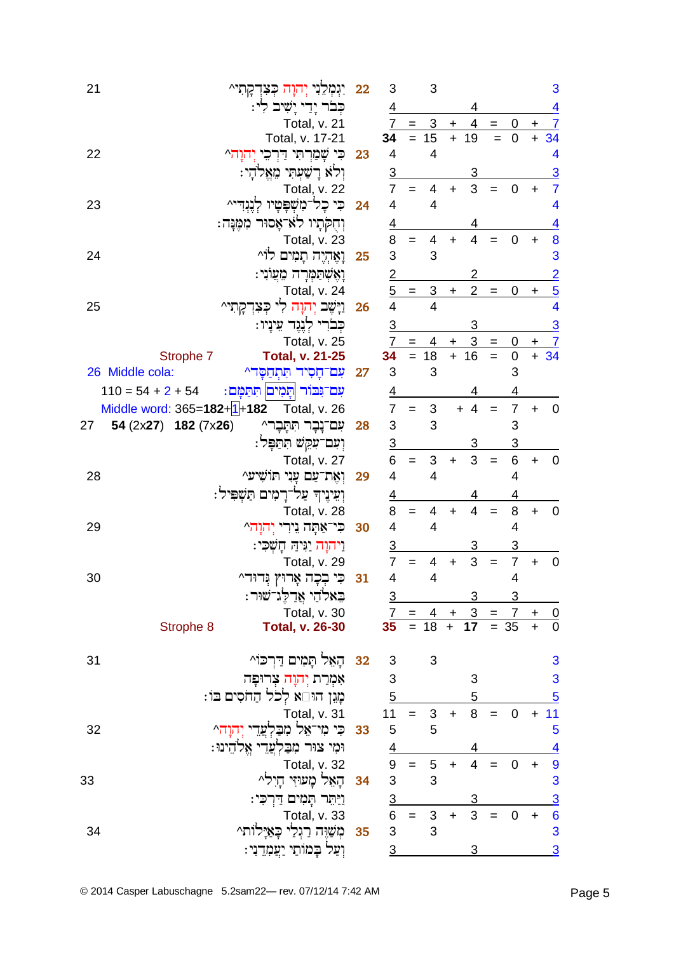| 21 | יִנְּמְכֵנִי יְה <i>וָ</i> וָה כְּצִדְקָתִי^                                                                                          | 22 | 3                       |                 | 3                                |                 |                                                          |                   |                         |           | 3                            |
|----|---------------------------------------------------------------------------------------------------------------------------------------|----|-------------------------|-----------------|----------------------------------|-----------------|----------------------------------------------------------|-------------------|-------------------------|-----------|------------------------------|
|    | קִבר יְדַי יָשִׁיב לִי:                                                                                                               |    | 4                       |                 |                                  |                 | 4                                                        |                   |                         |           | <u>4</u>                     |
|    | Total, v. 21                                                                                                                          |    |                         | $7 =$           | <u>3</u>                         | $\pm$           | 4                                                        | $=$               | 0                       | $+$       | $\overline{7}$               |
|    | Total, v. 17-21                                                                                                                       |    | 34                      |                 | $= 15$                           | $+$             | 19                                                       | $\equiv$          | $\mathbf 0$             |           | $+ 34$                       |
| 22 | כִּי שָׁמַרְתִי דַרְכִי יְהוַה^                                                                                                       | 23 | 4                       |                 | $\overline{4}$                   |                 |                                                          |                   |                         |           | 4                            |
|    | וִלֹא רַשָׁעִתִּי מָאֱלֹהַי:                                                                                                          |    | 3                       |                 |                                  |                 | 3                                                        |                   |                         |           | $\overline{3}$               |
|    | Total, v. 22                                                                                                                          |    | $\overline{7}$          | $=$             | 4                                | $\ddot{}$       | 3                                                        | $=$               | 0                       | ٠         | $\overline{7}$               |
| 23 | כִּי כָל־מִשְׁפָּטָיו                                                                                                                 | 24 | 4                       |                 | $\overline{4}$                   |                 |                                                          |                   |                         |           | 4                            |
|    | וְחָקִתְיו לֹא ֹאָסוּר מִמֶּנָּה:                                                                                                     |    | 4                       |                 |                                  |                 |                                                          |                   |                         |           | <u>4</u>                     |
|    | Total, v. 23                                                                                                                          |    | 8                       | $=$             | 4                                | $\ddot{}$       | $\overline{4}$                                           | $=$               | 0                       | ٠         | 8                            |
| 24 | וָאֶהְיֶה תָמִים לוֹ^                                                                                                                 | 25 | 3                       |                 | 3                                |                 |                                                          |                   |                         |           | 3                            |
|    |                                                                                                                                       |    | 2                       |                 |                                  |                 |                                                          |                   |                         |           |                              |
|    | וָאֶשְתַּמְרָה מֵעֲוֹנִי:                                                                                                             |    |                         |                 |                                  |                 | 2                                                        |                   |                         |           | $\overline{2}$               |
|    | Total, v. 24                                                                                                                          |    | $\overline{\mathbf{4}}$ | $5 =$           | $\overline{3}$<br>$\overline{4}$ | $\ddot{}$       | $\overline{2}$                                           | $\qquad \qquad =$ | 0                       | $\ddot{}$ | $\overline{5}$<br>4          |
| 25 | וַיַּשֶׁב יִהוַה לִי<br>ݗִּצִדְקְתִי^                                                                                                 | 26 |                         |                 |                                  |                 |                                                          |                   |                         |           |                              |
|    | כִּבֹרִי לְנֶגֶד עֵינַיו:                                                                                                             |    | $\overline{3}$          |                 |                                  |                 | 3                                                        |                   |                         |           | <u>3</u>                     |
|    | Total, v. 25                                                                                                                          |    | $\overline{7}$          | $\equiv$<br>$=$ | 4<br>18                          | +<br>$\ddot{+}$ | <u>3</u><br>16                                           | $=$               | <u>0</u><br>$\mathbf 0$ |           | $\frac{+}{+}$ $\frac{7}{34}$ |
|    | Strophe 7<br><b>Total, v. 21-25</b>                                                                                                   |    | 34                      |                 | 3                                |                 |                                                          | $=$               |                         |           |                              |
|    | 26 Middle cola:<br>עִם־חָסִיד תִּתְחַסָּד^                                                                                            | 27 | 3                       |                 |                                  |                 |                                                          |                   | 3                       |           |                              |
|    | עם־גִּבּוֹר תַּמִים תִּתַּמָּם:<br>$110 = 54 + 2 + 54$                                                                                |    | <u>4</u>                |                 |                                  |                 | 4                                                        |                   | 4                       |           |                              |
|    | Middle word: $365=182+[1]+182$<br>Total, v. 26                                                                                        |    | $\overline{7}$          | $=$             | 3                                |                 | $+4$                                                     | $=$               | $\overline{7}$          | $\ddot{}$ | $\mathbf 0$                  |
| 27 | 54 (2x27) 182 (7x26)<br>עִם־נָבָר תִּתְבָר^                                                                                           | 28 | 3                       |                 | 3                                |                 |                                                          |                   | 3                       |           |                              |
|    | וְעִם־עָקֵשׁ תִּתַפְּל:                                                                                                               |    | $\overline{3}$          |                 |                                  |                 | 3                                                        |                   | 3                       |           |                              |
|    | Total, v. 27                                                                                                                          |    | 6                       | $=$             | 3                                | $\ddot{}$       | 3                                                        | $=$               | 6                       | $\ddot{}$ | $\mathbf 0$                  |
| 28 | וְאֵת־עַם עַנִי תּוֹשִׁיע^                                                                                                            | 29 | 4                       |                 | $\overline{4}$                   |                 |                                                          |                   | 4                       |           |                              |
|    | וְעֵינֶיךְ עַל־רָמִים תַּשְׁפִּיל:                                                                                                    |    | <u>4</u>                |                 |                                  |                 | 4                                                        |                   | 4                       |           |                              |
|    | Total, v. 28                                                                                                                          |    | 8                       | $=$             | 4                                | $\ddot{}$       | 4                                                        | $=$               | 8                       | $\ddot{}$ | $\boldsymbol{0}$             |
| 29 | כִּי־אַתָּה נֵירִי יְהוָה^                                                                                                            | 30 | 4                       |                 | 4                                |                 |                                                          |                   | 4                       |           |                              |
|    | וַיהוָה יַגִּיהַ חָשְׁכִּי:                                                                                                           |    | $\overline{3}$          |                 |                                  |                 | 3                                                        |                   | 3                       |           |                              |
|    | Total, v. 29                                                                                                                          |    | $\overline{7}$          | $=$             | 4                                | $\ddot{}$       | 3                                                        | $=$               | $\overline{7}$          | $\ddot{}$ | $\mathbf 0$                  |
| 30 | כִּי בִכָה אָרוּץ וְּדוּד^                                                                                                            | 31 | 4                       |                 | 4                                |                 |                                                          |                   | 4                       |           |                              |
|    | ּבִאלֹהַי אֲדַלֶּג־שׁוּר:                                                                                                             |    | $\overline{3}$          |                 |                                  |                 |                                                          |                   |                         |           |                              |
|    | Total, v. 30                                                                                                                          |    |                         |                 |                                  |                 |                                                          |                   |                         |           |                              |
|    | <b>Total, v. 26-30</b><br>Strophe 8                                                                                                   |    |                         |                 |                                  |                 | $\frac{7}{35} = \frac{4 + 3}{17} = \frac{7 + 0}{35 + 0}$ |                   |                         |           |                              |
| 31 | 3 5 באל תקים דרכוי A3 5 ב                                                                                                             |    |                         |                 | $\mathbf{3}$                     |                 |                                                          |                   |                         |           |                              |
|    | אָמְרַת יְהוָה צְרוּפָּה                                                                                                              |    | $\overline{\mathbf{3}}$ |                 |                                  |                 | 3                                                        |                   |                         |           | $\frac{3}{5}$                |
|    | מַגִן הוּ□א לִכֹל הַחֹסִים בּוֹ:                                                                                                      |    | $\frac{5}{2}$           |                 |                                  |                 | 5                                                        |                   |                         |           |                              |
|    | Total, v. 31                                                                                                                          |    |                         |                 | $11 = 3 +$                       |                 | 8                                                        | $=$               | $\mathbf 0$             | $+11$     |                              |
| 32 | 5 33 כִּי מִי־אֵל מִבַּלְעֲדֵי יְהוָהֹ^                                                                                               |    |                         |                 | 5                                |                 |                                                          |                   |                         |           | 5                            |
|    | וּמִי צוּר מִבַּלְעֲדֵי אֱלֹהֵינוּ:                                                                                                   |    |                         |                 |                                  |                 |                                                          |                   |                         |           |                              |
|    | Total, v. 32                                                                                                                          |    |                         |                 | $\frac{4}{9}$ = 5<br>3 3         | $+$             | 4<br>$\overline{4}$                                      | $=$               | $\mathbf 0$             | $+$       | $\overline{4}$               |
| 33 | 34 - הָאֵל מָעוּזִי חָיִלֹּ^                                                                                                          |    |                         |                 |                                  |                 |                                                          |                   |                         |           | $\frac{9}{3}$                |
|    |                                                                                                                                       |    |                         |                 |                                  |                 |                                                          |                   |                         |           |                              |
|    | י-כ הָאֵל מָעוּדִי<br>- פְּמִים פָּרַחֵ קָמִים<br>- 6 = 5 דומה דו 15 הואר<br>- 35 דומה דו 35 לווחור ב<br>וַיַּתֵּר תָּמִים דַּרְכִּי: |    |                         |                 |                                  |                 | 3                                                        |                   |                         |           | $\frac{3}{6}$                |
|    |                                                                                                                                       |    |                         |                 |                                  |                 | 3 <sup>1</sup>                                           | $=$               | 0                       | $+$       |                              |
| 34 | 85   מְשַׁוֶּה רַגְלֵי כָּאַיְלוֹת^                                                                                                   |    |                         |                 |                                  |                 |                                                          |                   |                         |           |                              |
|    | וְעַל בְּמוֹתֵי יַעֲמָדֵנִי:                                                                                                          |    | $\overline{3}$          |                 |                                  |                 | 3                                                        |                   |                         |           | $\overline{3}$               |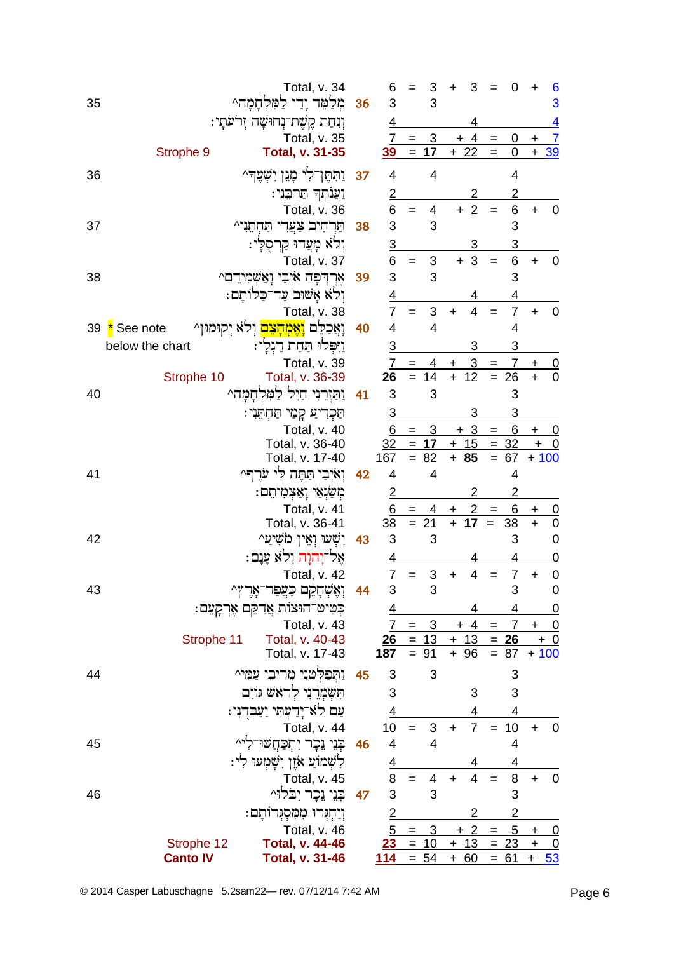| 35 | Total, v. 34<br>מִלַמֵּר יָדֵי לַמִּלְ<br><u>המה</u> ^            | 36 | 6<br>3                  | $=$        | 3<br>3                       | +               | 3                       |                          | 0              | +                    | 6<br>3                           |
|----|-------------------------------------------------------------------|----|-------------------------|------------|------------------------------|-----------------|-------------------------|--------------------------|----------------|----------------------|----------------------------------|
|    | וְנִחַת קֶשֶׁת־נְחוּשָׁה זְרֹעֹתָי:                               |    | 4                       |            |                              |                 | 4                       |                          |                |                      | 4                                |
|    | Total, v. 35                                                      |    |                         | $7 =$      | $\mathbf{3}$                 |                 | $+4$                    | $\qquad \qquad =$        | 0              | $\ddot{}$            | $\overline{7}$                   |
|    | Strophe 9<br><b>Total, v. 31-35</b>                               |    | 39                      |            | $= 17$                       |                 | $+22$                   | $=$                      | 0              |                      | $+39$                            |
| 36 | וַתִּחֶן־לִי כָּוֹּגֵן יִשְׁעֲדִּ^                                | 37 | 4                       |            | 4                            |                 |                         |                          | $\overline{4}$ |                      |                                  |
|    | וַעֲנתִךּ תַּרְבֵּנִי:                                            |    | $\overline{2}$          |            |                              |                 | 2                       |                          | 2              |                      |                                  |
|    | Total, v. 36                                                      |    | 6                       | $=$        | 4                            |                 | $+2$                    | $=$                      | 6              | $\ddot{}$            | $\mathbf 0$                      |
| 37 | תַּרְחִיב צָעֲדִי תַּחְתֵּנִי^                                    | 38 | 3                       |            | 3                            |                 |                         |                          | 3              |                      |                                  |
|    | וְלֹא מָֽצִרוּ קַרְסֻלְי:                                         |    |                         |            |                              |                 | 3                       |                          | 3              |                      |                                  |
|    | Total, v. 37                                                      |    | $\frac{3}{6}$           | $=$        | $\mathfrak{B}$               |                 | $\mathfrak{S}$<br>$+$   | $=$                      | 6              | $\ddot{}$            | $\mathbf 0$                      |
| 38 | אֶרְדְפָה אֹיְבִי וָאַשְׁמִידֵם^                                  | 39 | 3                       |            | 3                            |                 |                         |                          | 3              |                      |                                  |
|    | וִלֹא אַשׁוּב עַד־כַלּוֹתֵם:                                      |    | $\overline{4}$          |            |                              |                 |                         |                          | 4              |                      |                                  |
|    | Total, v. 38                                                      |    | $\overline{7}$          | $=$        | 3                            | $\ddot{}$       | $\overline{4}$          | $=$                      | $\overline{7}$ | $\ddot{}$            | $\mathbf 0$                      |
| 39 | וָאֲכַלֵּם <mark>וְאֶמְחָצִם</mark> וְלֹא יְקוּמוּן^<br>See note  | 40 | 4                       |            | 4                            |                 |                         |                          | 4              |                      |                                  |
|    | below the chart<br>וַיִּפְּלוּ תַּחַת רַגְלָי:                    |    | $\overline{3}$          |            |                              |                 | 3                       |                          | 3              |                      |                                  |
|    | Total, v. 39                                                      |    | 7                       | $=$        | 14                           | +<br>$\ddot{+}$ | $\overline{3}$<br>12    | $=$<br>$=$               | 7              | $\mathbf +$          | $\frac{0}{0}$                    |
| 40 | Total, v. 36-39<br>Strophe 10<br>וַתַּזְרֵנִי חַיִל לַמְּלְחָמָה^ | 41 | 26<br>3                 |            | 3                            |                 |                         |                          | 26<br>3        |                      |                                  |
|    | תַּכְרִיעַ קְמַי תַּחְתֵּנִי:                                     |    | $\overline{3}$          |            |                              |                 | 3                       |                          |                |                      |                                  |
|    | Total, v. 40                                                      |    | 6                       | $=$        | $\overline{3}$               |                 | $+3$                    | $\!=$                    | <u>6</u>       |                      | <u>+ 0</u>                       |
|    | Total, v. 36-40                                                   |    |                         |            | $32 = 17$                    |                 | $+ 15 = 32$             |                          |                |                      | $+$ 0                            |
|    | Total, v. 17-40                                                   |    | 167                     |            | $= 82$                       |                 | $+ 85$                  |                          | $= 67$         | $+100$               |                                  |
| 41 | וְאֹיְבִי תַּתָּה לִי עֹרֵךְ                                      | 42 | $\overline{4}$          |            | 4                            |                 |                         |                          | 4              |                      |                                  |
|    | ּמְשַׁנְאַי וָאַצְמִיתִם:                                         |    | $\frac{2}{6}$           |            |                              |                 | 2                       |                          | 2              |                      |                                  |
|    | Total, v. 41<br>Total, v. 36-41                                   |    | 38                      | $=$<br>$=$ | 4<br>21                      | +<br>$\ddot{}$  | $\overline{2}$<br>17    | $\qquad \qquad =$<br>$=$ | 6<br>38        | $+$<br>$\ddot{}$     | <u>0</u><br>$\mathbf 0$          |
| 42 | יִשָׁעוּ וְאֵין מֹשִׁיַעַ^                                        | 43 | $\sqrt{3}$              |            | 3                            |                 |                         |                          | 3              |                      | $\mathbf 0$                      |
|    | אֵל־יָחוָה וְלֹא עֲנָם:                                           |    | <u>4</u>                |            |                              |                 |                         |                          | 4              |                      | $\overline{0}$                   |
|    | Total, v. 42                                                      |    | $\overline{7}$          | $=$        | 3                            | $\ddot{}$       | $\overline{4}$          | $=$                      | $\overline{7}$ | $\ddot{}$            | $\mathbf 0$                      |
| 43 | ^7'<br>אָר<br>וְאֶשְׁהָקִם כַּצֲפַר                               | 44 | 3                       |            | 3                            |                 |                         |                          | 3              |                      | $\pmb{0}$                        |
|    | כִּטִּיט־חוּצוֹת אֲדִקֵם אֶרְקָעֵם:                               |    |                         |            |                              |                 |                         |                          |                |                      | <u>0</u>                         |
|    | Total, v. 43                                                      |    | $\frac{4}{7}$           | $=$        | 3 <sup>1</sup>               |                 | $+4$                    | $\equiv$                 |                | $7 +$                | $\overline{0}$                   |
|    | Total, v. 40-43<br>Strophe 11                                     |    |                         |            | $26 = 13 + 13$               |                 |                         |                          | $= 26$         | $+ 0$                |                                  |
|    | Total, v. 17-43                                                   |    | 187                     |            | $= 91$                       |                 | $+ 96$                  |                          | $= 87$         | $+100$               |                                  |
| 44 | וַתִּפִלְטֵנִי מֵרִיבֵי                                           | 45 | 3                       |            | 3                            |                 |                         |                          | 3              |                      |                                  |
|    | תשמרני לראש ווים                                                  |    | 3                       |            |                              |                 | 3                       |                          | 3              |                      |                                  |
|    | ַעַם לאִ־יָדַעִּתִּי יַעַּבְדֻנִי:                                |    | $\overline{4}$          |            |                              |                 | 4                       |                          | 4              |                      |                                  |
|    | Total, v. 44                                                      |    | 10                      |            | 3                            | $+$             | $\overline{7}$          | $=$                      | 10             | $+$                  | $\mathbf 0$                      |
| 45 | בִּנֵי נֵכֵר יְתְכַחֲשׁוּ־                                        | 46 | $\overline{\mathbf{4}}$ |            | $\overline{4}$               |                 |                         |                          | $\overline{4}$ |                      |                                  |
|    | ּלִשְׁמוֹעַ אֹזֶן יִשָּׁמְעוּ לִי                                 |    | $\overline{4}$          |            |                              |                 |                         |                          | $\overline{4}$ |                      |                                  |
|    | Total, v. 45                                                      |    | 8<br>3                  |            | 4                            | $\ddot{}$       | $\overline{\mathbf{4}}$ |                          | 8              | $\ddot{\phantom{1}}$ | $\pmb{0}$                        |
| 46 | בְּנֵי נֵכָר יָבֹלוּ^                                             | 47 |                         |            | 3                            |                 |                         |                          | 3              |                      |                                  |
|    | וַיַחְגִּרוּ מִמְסְגִּרוּתָם:                                     |    |                         |            | $\frac{2}{5} = 3$<br>23 = 10 |                 | 2                       |                          |                |                      |                                  |
|    | Total, v. 46<br>Strophe 12<br><b>Total, v. 44-46</b>              |    |                         |            |                              |                 | $+2$<br>$+ 13 = 23$     | $=$                      |                | $5 +$<br>$+$         | $\overline{0}$<br>$\overline{0}$ |
|    | <b>Canto IV</b><br><b>Total, v. 31-46</b>                         |    | 114                     |            | $= 54$                       |                 | $+ 60$                  |                          | $= 61$         |                      | $+ 53$                           |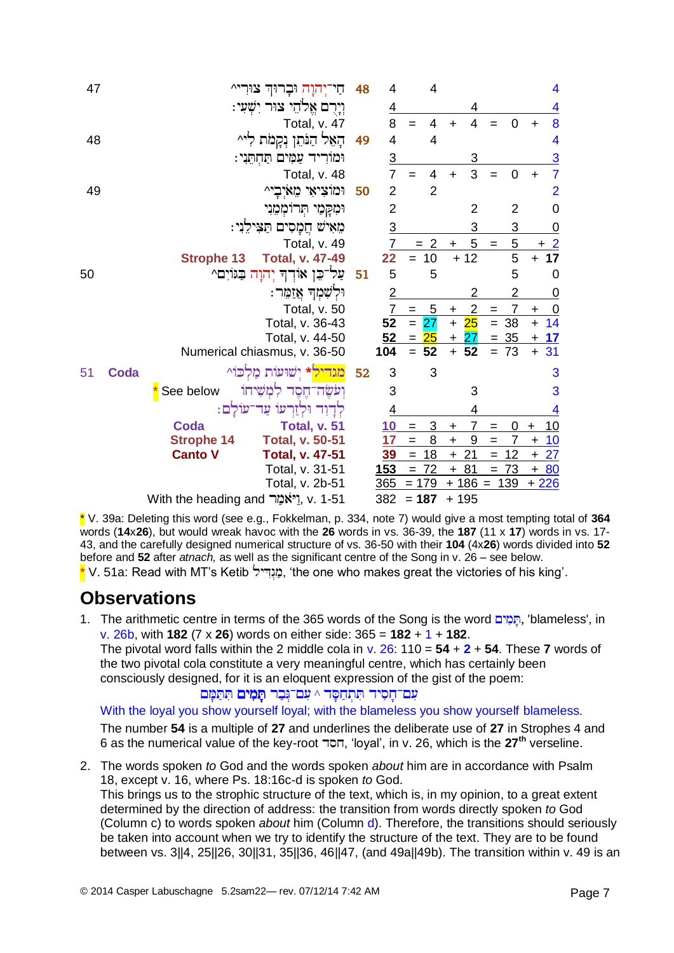| 47 |      |                                          | -יִחוָה וּבָרוּך<br>חי            | 48 | 4                        |         | $\overline{4}$      |           |                |                   |                |                                  | 4              |
|----|------|------------------------------------------|-----------------------------------|----|--------------------------|---------|---------------------|-----------|----------------|-------------------|----------------|----------------------------------|----------------|
|    |      |                                          | וְיָרָם אֱלֹהֵי צוּר יִשְׁעִי:    |    | $\overline{4}$           |         |                     |           | 4              |                   |                |                                  | <u>4</u>       |
|    |      |                                          | Total, v. 47                      |    | 8                        | $=$     | 4                   | $\ddot{}$ | 4              |                   | 0              | $\ddot{}$                        | 8              |
| 48 |      |                                          | הַאֵל הַנֹּתֵן נִקֲמֹת לִי^       | 49 | 4                        |         | $\overline{4}$      |           |                |                   |                |                                  | 4              |
|    |      |                                          | וּמוֹרִיד עַמְּים תַּחְתֵּנִי:    |    | $\overline{3}$           |         |                     |           | 3              |                   |                |                                  | $\overline{3}$ |
|    |      |                                          | Total, v. 48                      |    | $\overline{7}$           |         | 4                   | $\ddot{}$ | 3              |                   | 0              | $\ddot{}$                        | $\overline{7}$ |
| 49 |      |                                          | וּמוֹצִיאִי מֵאיִבָי^             | 50 | $\overline{2}$           |         | $\overline{2}$      |           |                |                   |                |                                  | $\overline{2}$ |
|    |      |                                          | וּמִקָּמַי הְרוֹמְמֵנִי           |    | $\overline{2}$           |         |                     |           | 2              |                   | 2              |                                  | $\overline{0}$ |
|    |      |                                          | מֵאִישׁ חֲמָסִים תַּצִּילֵנִי:    |    | $\overline{3}$           |         |                     |           | 3              |                   | 3              |                                  | $\overline{0}$ |
|    |      |                                          | Total, v. 49                      |    | $\overline{7}$           |         | $= 2$               | $\ddot{}$ | 5              | $=$               | 5              | +                                | $\overline{2}$ |
|    |      | <b>Strophe 13</b>                        | <b>Total, v. 47-49</b>            |    | $\overline{\mathbf{22}}$ | $=$     | 10                  |           | $+12$          |                   | 5              | $\ddot{}$                        | 17             |
| 50 |      |                                          | עַל־כֵן אוֹדִד יִהוַה בַּגּוֹיִם^ | 51 | 5                        |         | 5                   |           |                |                   | 5              |                                  | $\mathbf 0$    |
|    |      |                                          | וּלְשָׁמְךָ אֲזַמֵּר:             |    | $\overline{2}$           |         |                     |           | 2              |                   | 2              |                                  | $\overline{0}$ |
|    |      |                                          | Total, v. 50                      |    | $\overline{7}$           | $=$     | $\overline{5}$      | $\ddot{}$ | $\overline{2}$ | $\qquad \qquad =$ | 7              | $\ddot{}$                        | $\overline{0}$ |
|    |      |                                          | Total, v. 36-43                   |    | 52                       | $= 27$  |                     | $+$       | 25             | $=$               | 38             | $\ddot{}$                        | 14             |
|    |      |                                          | Total, v. 44-50                   |    | 52                       | $=$     | $\overline{\bf 25}$ | $\pm$     | 27             |                   | $= 35$         | $\ddot{}$                        | 17             |
|    |      |                                          | Numerical chiasmus, v. 36-50      |    | 104                      | $= 52$  |                     |           | $+ 52$         |                   | $= 73$         |                                  | $+31$          |
| 51 | Coda |                                          | <mark>מגדיל</mark> * ישועות מלכו^ | 52 | 3                        |         | 3                   |           |                |                   |                |                                  | 3              |
|    |      | See below                                | ועשה־חסד למשיחו                   |    | 3                        |         |                     |           | 3              |                   |                |                                  | 3              |
|    |      |                                          | לְדַוְר וּלְזַרְעוֹ עֲד־עוֹלַם:   |    | $\overline{4}$           |         |                     |           | 4              |                   |                |                                  | 4              |
|    |      | <b>Coda</b>                              | Total, v. 51                      |    | 10                       | $=$     | 3                   | $\ddot{}$ |                | $=$               | 0              | ٠                                | <u> 10</u>     |
|    |      | <b>Strophe 14</b>                        | <b>Total, v. 50-51</b>            |    | 17                       | $=$     | 8                   | $\ddot{}$ | 9              | $=$               | $\overline{7}$ | $\ddot{}$                        | 10             |
|    |      | <b>Canto V</b>                           | <b>Total, v. 47-51</b>            |    | <u>39</u>                | $=$     | 18                  | $\ddot{}$ | 21             | $=$               | 12             | $\begin{array}{c} + \end{array}$ | 27             |
|    |      |                                          | Total, v. 31-51                   |    | <u>153</u>               | $=$     | 72                  | $\ddot{}$ | 81             | $=$               | 73             | $\ddot{}$                        | 80             |
|    |      |                                          | Total, v. 2b-51                   |    | 365                      | $= 179$ |                     |           | $+ 186 =$      |                   | 139            | $+226$                           |                |
|    |      | v. 1-51 y. נֵיאֹמַר With the heading and |                                   |    | 382                      | $= 187$ |                     | $+195$    |                |                   |                |                                  |                |

\* V. 39a: Deleting this word (see e.g., Fokkelman, p. 334, note 7) would give a most tempting total of **364** words (**14**x**26**), but would wreak havoc with the **26** words in vs. 36-39, the **187** (11 x **17**) words in vs. 17- 43, and the carefully designed numerical structure of vs. 36-50 with their **104** (4x**26**) words divided into **52** before and **52** after *atnach,* as well as the significant centre of the Song in v. 26 – see below.  $*$  V. 51a: Read with MT's Ketib בְּגְדִּיל, 'the one who makes great the victories of his king'.

#### **Observations**

- 1. The arithmetic centre in terms of the 365 words of the Song is the word הַגְּמִים, 'blameless', in v. 26b, with **182** (7 x **26**) words on either side: 365 = **182** + 1 + **182**.
	- The pivotal word falls within the 2 middle cola in v. 26: 110 = **54** + **2** + **54**. These **7** words of the two pivotal cola constitute a very meaningful centre, which has certainly been consciously designed, for it is an eloquent expression of the gist of the poem:

^

With the loyal you show yourself loyal; with the blameless you show yourself blameless. The number **54** is a multiple of **27** and underlines the deliberate use of **27** in Strophes 4 and 6 as the numerical value of the key-root , 'loyal', in v. 26, which is the **27th** verseline.

2. The words spoken *to* God and the words spoken *about* him are in accordance with Psalm 18, except v. 16, where Ps. 18:16c-d is spoken *to* God. This brings us to the strophic structure of the text, which is, in my opinion, to a great extent

determined by the direction of address: the transition from words directly spoken *to* God (Column c) to words spoken *about* him (Column d). Therefore, the transitions should seriously be taken into account when we try to identify the structure of the text. They are to be found between vs. 3||4, 25||26, 30||31, 35||36, 46||47, (and 49a||49b). The transition within v. 49 is an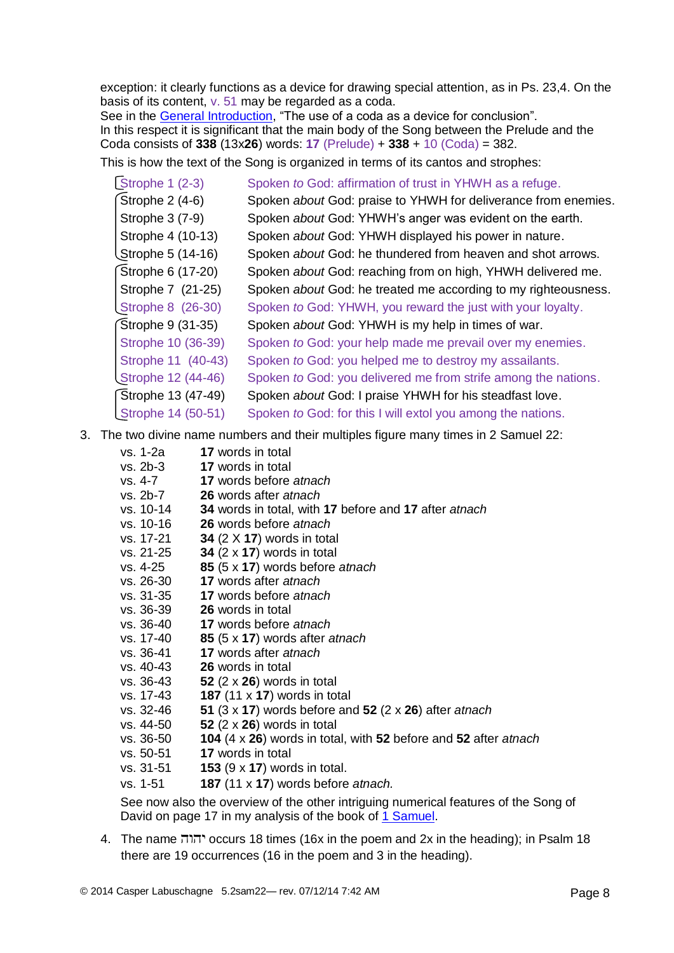exception: it clearly functions as a device for drawing special attention, as in Ps. 23,4. On the basis of its content, v. 51 may be regarded as a coda.

See in the **General Introduction**, "The use of a coda as a device for conclusion". In this respect it is significant that the main body of the Song between the Prelude and the Coda consists of **338** (13x**26**) words: **17** (Prelude) + **338** + 10 (Coda) = 382.

This is how the text of the Song is organized in terms of its cantos and strophes:

| Strophe $1(2-3)$   | Spoken to God: affirmation of trust in YHWH as a refuge.       |
|--------------------|----------------------------------------------------------------|
| Strophe 2 (4-6)    | Spoken about God: praise to YHWH for deliverance from enemies. |
| Strophe 3 (7-9)    | Spoken about God: YHWH's anger was evident on the earth.       |
| Strophe 4 (10-13)  | Spoken about God: YHWH displayed his power in nature.          |
| Strophe 5 (14-16)  | Spoken about God: he thundered from heaven and shot arrows.    |
| Strophe 6 (17-20)  | Spoken about God: reaching from on high, YHWH delivered me.    |
| Strophe 7 (21-25)  | Spoken about God: he treated me according to my righteousness. |
| Strophe 8 (26-30)  | Spoken to God: YHWH, you reward the just with your loyalty.    |
| Strophe 9 (31-35)  | Spoken about God: YHWH is my help in times of war.             |
| Strophe 10 (36-39) | Spoken to God: your help made me prevail over my enemies.      |
| Strophe 11 (40-43) | Spoken to God: you helped me to destroy my assailants.         |
| Strophe 12 (44-46) | Spoken to God: you delivered me from strife among the nations. |
| Strophe 13 (47-49) | Spoken about God: I praise YHWH for his steadfast love.        |
| Strophe 14 (50-51) | Spoken to God: for this I will extol you among the nations.    |

3. The two divine name numbers and their multiples figure many times in 2 Samuel 22:

| vs. 1-2a  | 17 words in total                                                   |
|-----------|---------------------------------------------------------------------|
| vs. 2b-3  | 17 words in total                                                   |
| vs. 4-7   | 17 words before atnach                                              |
| vs. 2b-7  | 26 words after atnach                                               |
| vs. 10-14 | 34 words in total, with 17 before and 17 after atnach               |
| vs. 10-16 | 26 words before atnach                                              |
| vs. 17-21 | 34 $(2 \times 17)$ words in total                                   |
| vs. 21-25 | 34 $(2 \times 17)$ words in total                                   |
| vs. 4-25  | 85 (5 x 17) words before atnach                                     |
| vs. 26-30 | 17 words after atnach                                               |
| vs. 31-35 | <b>17</b> words before atnach                                       |
| vs. 36-39 | 26 words in total                                                   |
| vs. 36-40 | 17 words before atnach                                              |
| vs. 17-40 | 85 $(5 \times 17)$ words after <i>atnach</i>                        |
| vs. 36-41 | 17 words after atnach                                               |
| vs. 40-43 | <b>26</b> words in total                                            |
| vs. 36-43 | 52 $(2 \times 26)$ words in total                                   |
| vs. 17-43 | 187 $(11 \times 17)$ words in total                                 |
| vs. 32-46 | 51 $(3 \times 17)$ words before and 52 $(2 \times 26)$ after atnach |
| vs. 44-50 | 52 $(2 \times 26)$ words in total                                   |
| vs. 36-50 | 104 (4 x 26) words in total, with 52 before and 52 after atnach     |
| vs. 50-51 | <b>17</b> words in total                                            |
| vs. 31-51 | 153 $(9 \times 17)$ words in total.                                 |
| vs. 1-51  | 187 (11 x 17) words before atnach.                                  |
|           |                                                                     |

See now also the overview of the other intriguing numerical features of the Song of David on page 17 in my analysis of the book of [1 Samuel.](http://www.labuschagne.nl/joshua-kings.htm)

4. The name יהוה occurs 18 times (16x in the poem and 2x in the heading); in Psalm 18 there are 19 occurrences (16 in the poem and 3 in the heading).